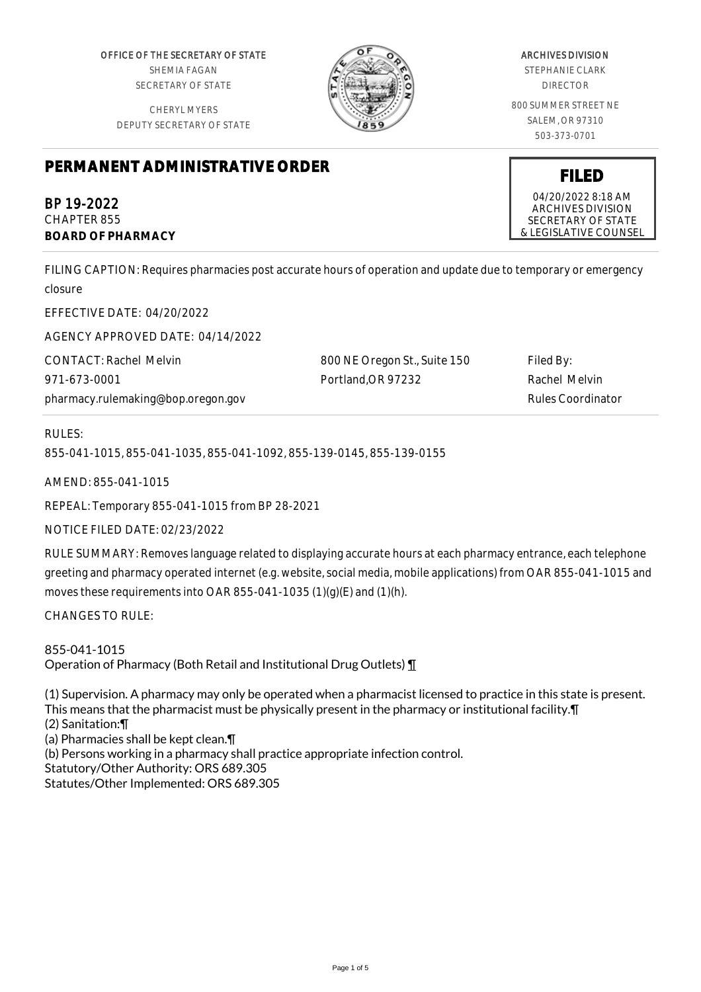OFFICE OF THE SECRETARY OF STATE SHEMIA FAGAN SECRETARY OF STATE

CHERYL MYERS DEPUTY SECRETARY OF STATE



# ARCHIVES DIVISION

STEPHANIE CLARK DIRECTOR

800 SUMMER STREET NE SALEM, OR 97310 503-373-0701

# **PERMANENT ADMINISTRATIVE ORDER**

BP 19-2022 CHAPTER 855 **BOARD OF PHARMACY**

FILING CAPTION: Requires pharmacies post accurate hours of operation and update due to temporary or emergency closure

EFFECTIVE DATE: 04/20/2022

AGENCY APPROVED DATE: 04/14/2022

CONTACT: Rachel Melvin 971-673-0001 pharmacy.rulemaking@bop.oregon.gov 800 NE Oregon St., Suite 150 Portland,OR 97232

Filed By: Rachel Melvin Rules Coordinator

# RULES:

855-041-1015, 855-041-1035, 855-041-1092, 855-139-0145, 855-139-0155

AMEND: 855-041-1015

REPEAL: Temporary 855-041-1015 from BP 28-2021

NOTICE FILED DATE: 02/23/2022

RULE SUMMARY: Removes language related to displaying accurate hours at each pharmacy entrance, each telephone greeting and pharmacy operated internet (e.g. website, social media, mobile applications) from OAR 855-041-1015 and moves these requirements into OAR 855-041-1035 (1)(g)(E) and (1)(h).

CHANGES TO RULE:

855-041-1015 Operation of Pharmacy (Both Retail and Institutional Drug Outlets) ¶

(1) Supervision. A pharmacy may only be operated when a pharmacist licensed to practice in this state is present. This means that the pharmacist must be physically present in the pharmacy or institutional facility.¶ (2) Sanitation:¶ (a) Pharmacies shall be kept clean.¶ (b) Persons working in a pharmacy shall practice appropriate infection control. Statutory/Other Authority: ORS 689.305 Statutes/Other Implemented: ORS 689.305



ARCHIVES DIVISION SECRETARY OF STATE & LEGISLATIVE COUNSEL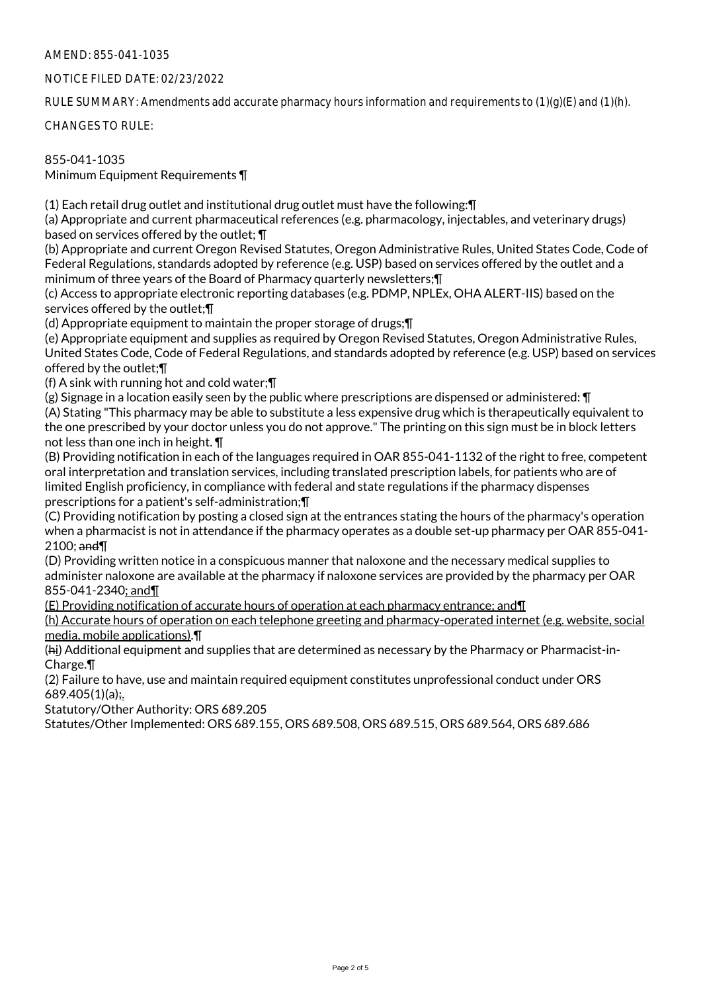# AMEND: 855-041-1035

#### NOTICE FILED DATE: 02/23/2022

RULE SUMMARY: Amendments add accurate pharmacy hours information and requirements to (1)(g)(E) and (1)(h).

CHANGES TO RULE:

855-041-1035 Minimum Equipment Requirements ¶

(1) Each retail drug outlet and institutional drug outlet must have the following:¶

(a) Appropriate and current pharmaceutical references (e.g. pharmacology, injectables, and veterinary drugs) based on services offered by the outlet; ¶

(b) Appropriate and current Oregon Revised Statutes, Oregon Administrative Rules, United States Code, Code of Federal Regulations, standards adopted by reference (e.g. USP) based on services offered by the outlet and a minimum of three years of the Board of Pharmacy quarterly newsletters;¶

(c) Access to appropriate electronic reporting databases (e.g. PDMP, NPLEx, OHA ALERT-IIS) based on the services offered by the outlet;¶

(d) Appropriate equipment to maintain the proper storage of drugs;¶

(e) Appropriate equipment and supplies as required by Oregon Revised Statutes, Oregon Administrative Rules, United States Code, Code of Federal Regulations, and standards adopted by reference (e.g. USP) based on services offered by the outlet;¶

(f) A sink with running hot and cold water;¶

(g) Signage in a location easily seen by the public where prescriptions are dispensed or administered: ¶

(A) Stating "This pharmacy may be able to substitute a less expensive drug which is therapeutically equivalent to the one prescribed by your doctor unless you do not approve." The printing on this sign must be in block letters not less than one inch in height. ¶

(B) Providing notification in each of the languages required in OAR 855-041-1132 of the right to free, competent oral interpretation and translation services, including translated prescription labels, for patients who are of limited English proficiency, in compliance with federal and state regulations if the pharmacy dispenses prescriptions for a patient's self-administration;¶

(C) Providing notification by posting a closed sign at the entrances stating the hours of the pharmacy's operation when a pharmacist is not in attendance if the pharmacy operates as a double set-up pharmacy per OAR 855-041- 2100; and¶

(D) Providing written notice in a conspicuous manner that naloxone and the necessary medical supplies to administer naloxone are available at the pharmacy if naloxone services are provided by the pharmacy per OAR 855-041-2340; and¶

(E) Providing notification of accurate hours of operation at each pharmacy entrance; and¶

(h) Accurate hours of operation on each telephone greeting and pharmacy-operated internet (e.g. website, social media, mobile applications).¶

(hi) Additional equipment and supplies that are determined as necessary by the Pharmacy or Pharmacist-in-Charge.¶

(2) Failure to have, use and maintain required equipment constitutes unprofessional conduct under ORS 689.405(1)(a);.

Statutory/Other Authority: ORS 689.205

Statutes/Other Implemented: ORS 689.155, ORS 689.508, ORS 689.515, ORS 689.564, ORS 689.686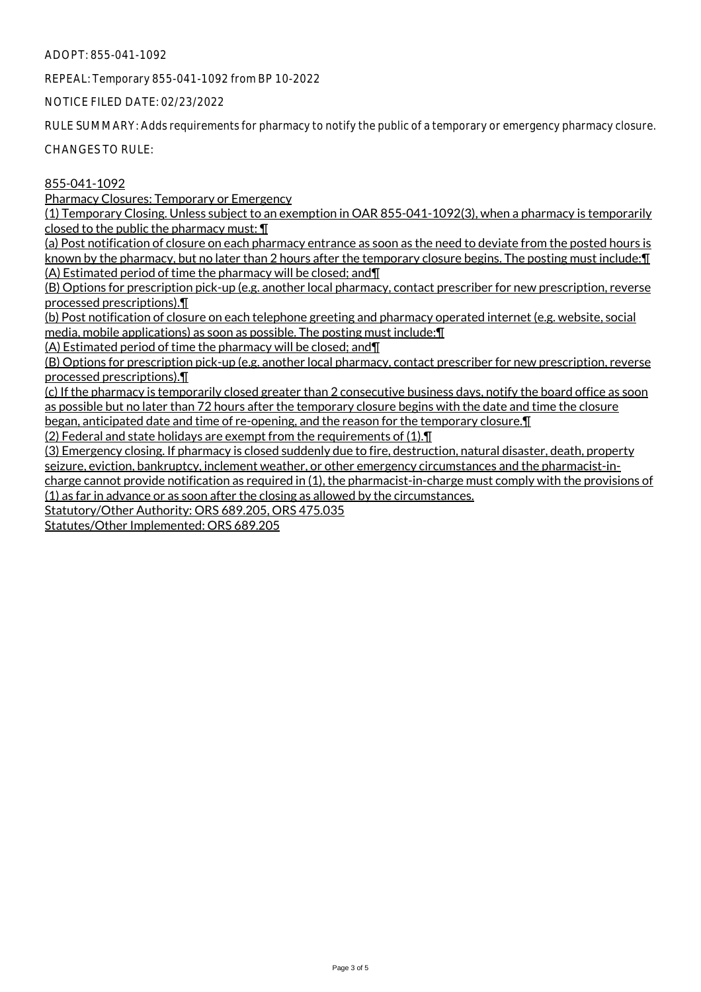#### ADOPT: 855-041-1092

REPEAL: Temporary 855-041-1092 from BP 10-2022

NOTICE FILED DATE: 02/23/2022

RULE SUMMARY: Adds requirements for pharmacy to notify the public of a temporary or emergency pharmacy closure.

CHANGES TO RULE:

# 855-041-1092

Pharmacy Closures: Temporary or Emergency

(1) Temporary Closing. Unless subject to an exemption in OAR 855-041-1092(3), when a pharmacy is temporarily closed to the public the pharmacy must: ¶

(a) Post notification of closure on each pharmacy entrance as soon as the need to deviate from the posted hours is known by the pharmacy, but no later than 2 hours after the temporary closure begins. The posting must include: [ (A) Estimated period of time the pharmacy will be closed; and¶

(B) Options for prescription pick-up (e.g. another local pharmacy, contact prescriber for new prescription, reverse processed prescriptions).¶

(b) Post notification of closure on each telephone greeting and pharmacy operated internet (e.g. website, social media, mobile applications) as soon as possible. The posting must include:¶

(A) Estimated period of time the pharmacy will be closed; and¶

(B) Options for prescription pick-up (e.g. another local pharmacy, contact prescriber for new prescription, reverse processed prescriptions).¶

(c) If the pharmacy is temporarily closed greater than 2 consecutive business days, notify the board office as soon as possible but no later than 72 hours after the temporary closure begins with the date and time the closure began, anticipated date and time of re-opening, and the reason for the temporary closure.¶

(2) Federal and state holidays are exempt from the requirements of (1).¶

(3) Emergency closing. If pharmacy is closed suddenly due to fire, destruction, natural disaster, death, property seizure, eviction, bankruptcy, inclement weather, or other emergency circumstances and the pharmacist-incharge cannot provide notification as required in (1), the pharmacist-in-charge must comply with the provisions of (1) as far in advance or as soon after the closing as allowed by the circumstances.

Statutory/Other Authority: ORS 689.205, ORS 475.035

Statutes/Other Implemented: ORS 689.205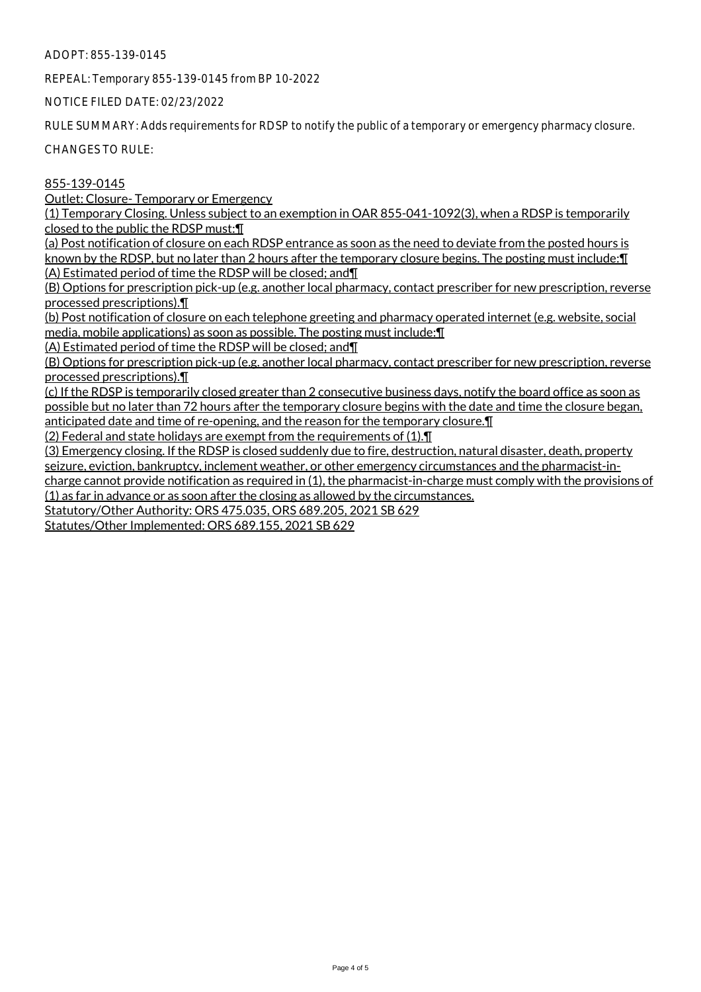ADOPT: 855-139-0145

REPEAL: Temporary 855-139-0145 from BP 10-2022

NOTICE FILED DATE: 02/23/2022

RULE SUMMARY: Adds requirements for RDSP to notify the public of a temporary or emergency pharmacy closure.

CHANGES TO RULE:

855-139-0145

Outlet: Closure- Temporary or Emergency

(1) Temporary Closing. Unless subject to an exemption in OAR 855-041-1092(3), when a RDSP is temporarily closed to the public the RDSP must:¶

(a) Post notification of closure on each RDSP entrance as soon as the need to deviate from the posted hours is known by the RDSP, but no later than 2 hours after the temporary closure begins. The posting must include: [1] (A) Estimated period of time the RDSP will be closed; and¶

(B) Options for prescription pick-up (e.g. another local pharmacy, contact prescriber for new prescription, reverse processed prescriptions).¶

(b) Post notification of closure on each telephone greeting and pharmacy operated internet (e.g. website, social media, mobile applications) as soon as possible. The posting must include:¶

(A) Estimated period of time the RDSP will be closed; and¶

(B) Options for prescription pick-up (e.g. another local pharmacy, contact prescriber for new prescription, reverse processed prescriptions).¶

(c) If the RDSP is temporarily closed greater than 2 consecutive business days, notify the board office as soon as possible but no later than 72 hours after the temporary closure begins with the date and time the closure began, anticipated date and time of re-opening, and the reason for the temporary closure.¶

(2) Federal and state holidays are exempt from the requirements of (1).¶

(3) Emergency closing. If the RDSP is closed suddenly due to fire, destruction, natural disaster, death, property seizure, eviction, bankruptcy, inclement weather, or other emergency circumstances and the pharmacist-incharge cannot provide notification as required in (1), the pharmacist-in-charge must comply with the provisions of (1) as far in advance or as soon after the closing as allowed by the circumstances.

Statutory/Other Authority: ORS 475.035, ORS 689.205, 2021 SB 629

Statutes/Other Implemented: ORS 689.155, 2021 SB 629